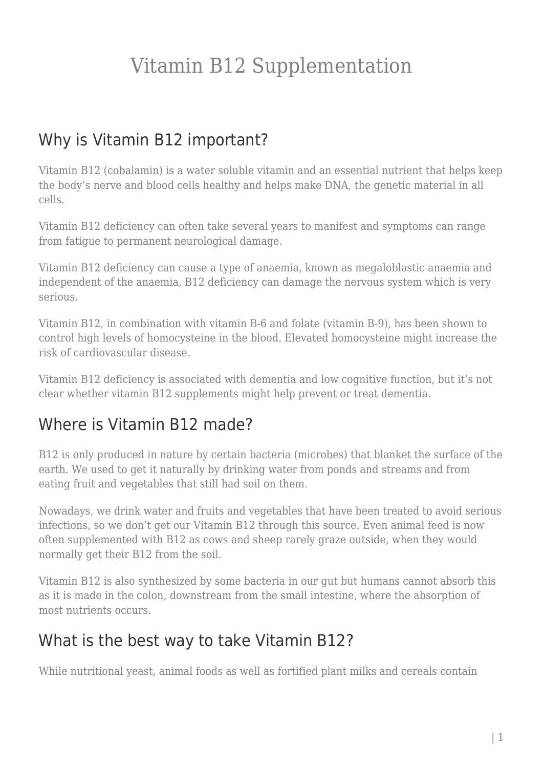## Vitamin B12 Supplementation

### Why is Vitamin B12 important?

Vitamin B12 (cobalamin) is a water soluble vitamin and an essential nutrient that helps keep the body's nerve and blood cells healthy and helps make DNA, the genetic material in all cells.

Vitamin B12 deficiency can often take several years to manifest and symptoms can range from fatigue to permanent neurological damage.

Vitamin B12 deficiency can cause a type of anaemia, known as megaloblastic anaemia and independent of the anaemia, B12 deficiency can damage the nervous system which is very serious.

Vitamin B12, in combination with vitamin B-6 and folate (vitamin B-9), has been shown to control high levels of homocysteine in the blood. Elevated homocysteine might increase the risk of cardiovascular disease.

Vitamin B12 deficiency is associated with dementia and low cognitive function, but it's not clear whether vitamin B12 supplements might help prevent or treat dementia.

#### Where is Vitamin B12 made?

B12 is only produced in nature by certain bacteria (microbes) that blanket the surface of the earth. We used to get it naturally by drinking water from ponds and streams and from eating fruit and vegetables that still had soil on them.

Nowadays, we drink water and fruits and vegetables that have been treated to avoid serious infections, so we don't get our Vitamin B12 through this source. Even animal feed is now often supplemented with B12 as cows and sheep rarely graze outside, when they would normally get their B12 from the soil.

Vitamin B12 is also synthesized by some bacteria in our gut but humans cannot absorb this as it is made in the colon, downstream from the small intestine, where the absorption of most nutrients occurs.

#### What is the best way to take Vitamin B12?

While nutritional yeast, animal foods as well as fortified plant milks and cereals contain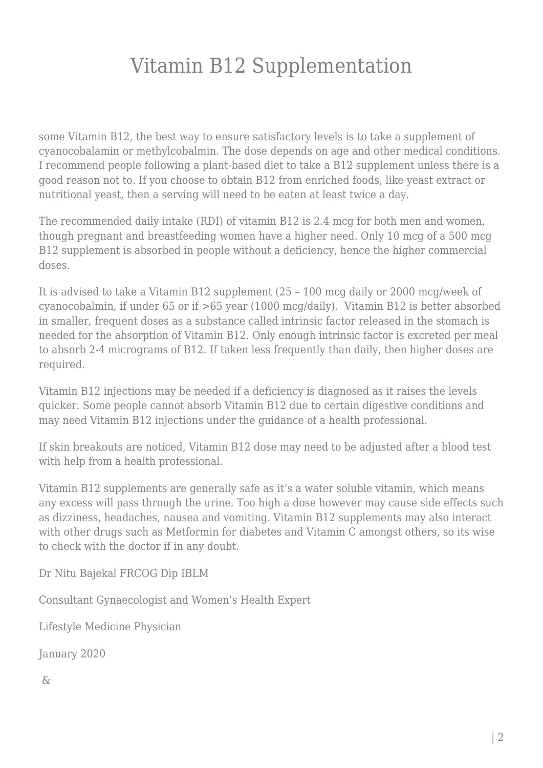## Vitamin B12 Supplementation

some Vitamin B12, the best way to ensure satisfactory levels is to take a supplement of cyanocobalamin or methylcobalmin. The dose depends on age and other medical conditions. I recommend people following a plant-based diet to take a B12 supplement unless there is a good reason not to. If you choose to obtain B12 from enriched foods, like yeast extract or nutritional yeast, then a serving will need to be eaten at least twice a day.

The recommended daily intake (RDI) of vitamin B12 is 2.4 mcg for both men and women, though pregnant and breastfeeding women have a higher need. Only 10 mcg of a 500 mcg B12 supplement is absorbed in people without a deficiency, hence the higher commercial doses.

It is advised to take a Vitamin B12 supplement (25 – 100 mcg daily or 2000 mcg/week of cyanocobalmin, if under 65 or if >65 year (1000 mcg/daily). Vitamin B12 is better absorbed in smaller, frequent doses as a substance called intrinsic factor released in the stomach is needed for the absorption of Vitamin B12. Only enough intrinsic factor is excreted per meal to absorb 2-4 micrograms of B12. If taken less frequently than daily, then higher doses are required.

Vitamin B12 injections may be needed if a deficiency is diagnosed as it raises the levels quicker. Some people cannot absorb Vitamin B12 due to certain digestive conditions and may need Vitamin B12 injections under the guidance of a health professional.

If skin breakouts are noticed, Vitamin B12 dose may need to be adjusted after a blood test with help from a health professional.

Vitamin B12 supplements are generally safe as it's a water soluble vitamin, which means any excess will pass through the urine. Too high a dose however may cause side effects such as dizziness, headaches, nausea and vomiting. Vitamin B12 supplements may also interact with other drugs such as Metformin for diabetes and Vitamin C amongst others, so its wise to check with the doctor if in any doubt.

Dr Nitu Bajekal FRCOG Dip IBLM

Consultant Gynaecologist and Women's Health Expert

Lifestyle Medicine Physician

January 2020

 $\delta$